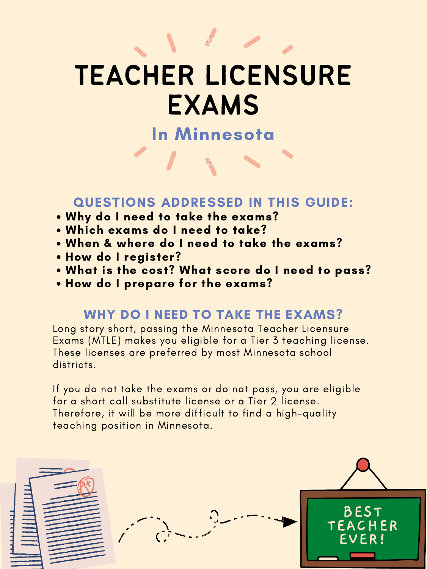- Why do I need to take the exams?
- Which exams do I need to take?
- When & where do I need to take the exams?
- How do I register?
- What is the cost? What score do I need to pass?
- How do I prepare for the exams?

## WHY DO I NEED TO TAKE THE EXAMS?

Long story short, passing the Minnesota Teacher Licensure Exams (MTLE) makes you eligible for a Tier 3 teaching license. These licenses are preferred by most Minnesota school districts.

## QUESTIONS ADDRESSED IN THIS GUIDE:

If you do not take the exams or do not pass, you are eligible for a short call substitute license or a Tier 2 license. Therefore, it will be more difficult to find a high-quality teaching position in Minnesota.



## In Minnesota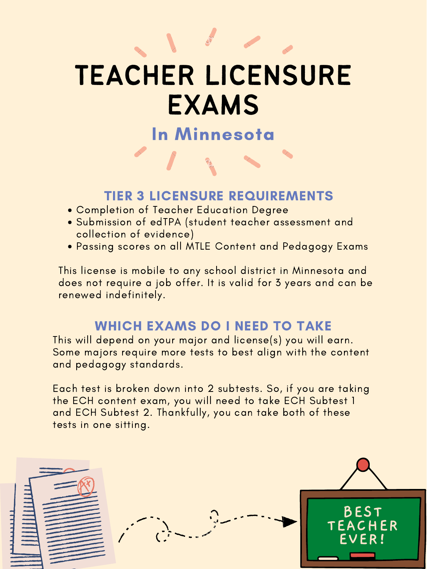### WHICH EXAMS DO I NEED TO TAKE

This will depend on your major and license(s) you will earn. Some majors require more tests to best align with the content and pedagogy standards.

Each test is broken down into 2 subtests. So, if you are taking the ECH content exam, you will need to take ECH Subtest 1 and ECH Subtest 2. Thankfully, you can take both of these tests in one sitting.



## In Minnesota

- Completion of Teacher Education Degree
- Submission of edTPA (student teacher assessment and collection of evidence)
- Passing scores on all MTLE Content and Pedagogy Exams

## TIER 3 LICENSURE REQUIREMENTS

This license is mobile to any school district in Minnesota and does not require a job offer. It is valid for 3 years and can be renewed indefinitely.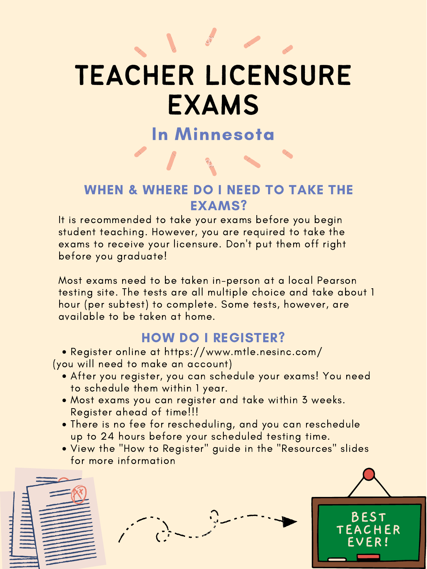- After you register, you can schedule your exams! You need to schedule them within 1 year.
- Most exams you can register and take within 3 weeks. Register ahead of time!!!
- There is no fee for rescheduling, and you can reschedule up to 24 hours before your scheduled testing time.
- View the "How to Register" guide in the "Resources" slides for more information



Register online at https://www.mtle.nesinc.com/ (you will need to make an account)

## HOW DO I REGISTER?

## In Minnesota

### WHEN & WHERE DO I NEED TO TAKE THE EXAMS?

It is recommended to take your exams before you begin student teaching. However, you are required to take the exams to receive your licensure. Don 't put them off right before you graduate!

Most exams need to be taken in-person at a local Pearson testing site. The tests are all multiple choice and take about 1 hour (per subtest) to complete. Some tests, however, are available to be taken at home.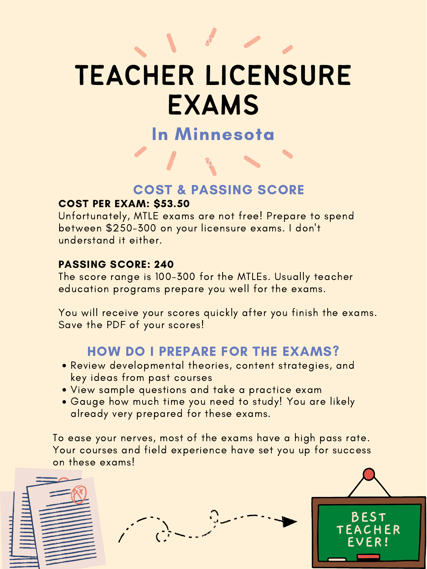- Review developmental theories, content strategies, and key ideas from past courses
- View sample questions and take a practice exam
- Gauge how much time you need to study! You are likely already very prepared for these exams.

## HOW DO I PREPARE FOR THE EXAMS?

To ease your nerves, most of the exams have a high pass rate. Your courses and field experience have set you up for success on these exams!



## In Minnesota

### COST & PASSING SCORE

#### COST PER EXAM: \$53.50

Unfortunately, MTLE exams are not free! Prepare to spend between \$250-300 on your licensure exams. I don 't understand it either.

#### PASSING SCORE: 240

The score range is 100-300 for the MTLEs. Usually teacher education programs prepare you well for the exams.

You will receive your scores quickly after you finish the exams. Save the PDF of your scores!